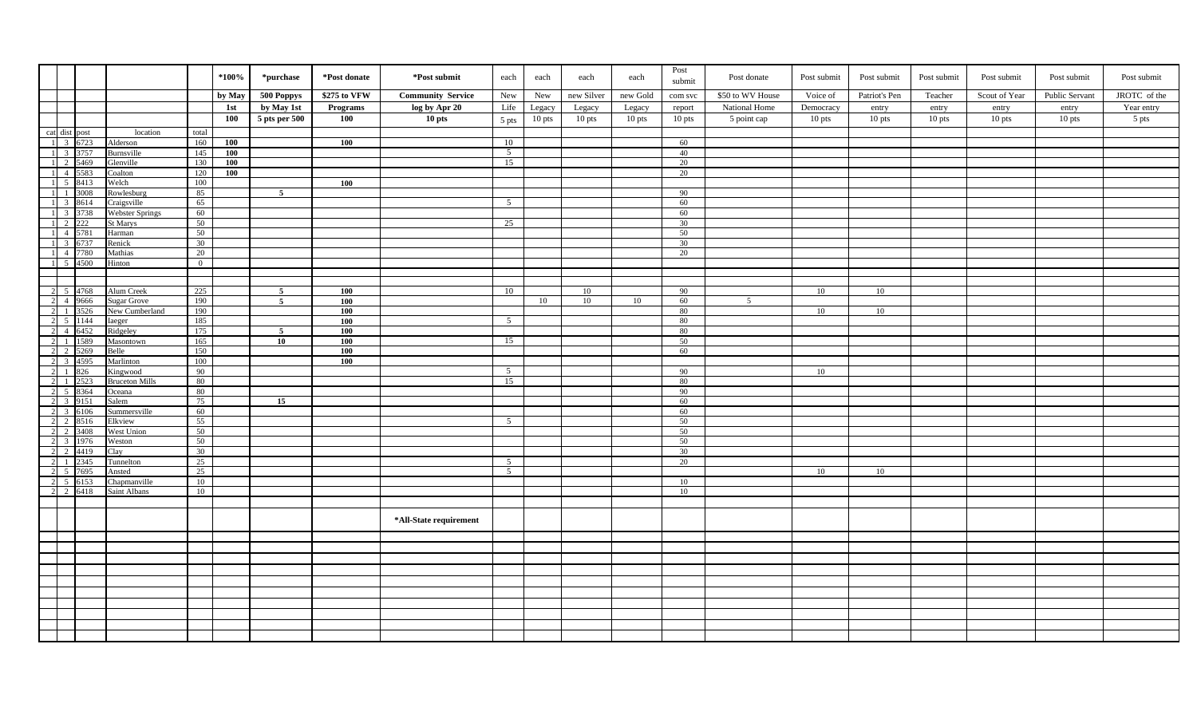|   |                    |      |                        |                | $*100\%$   | *purchase      | *Post donate | *Post submit             | each                | each     | each       | each     | Post<br>submit | Post donate      | Post submit | Post submit   | Post submit | Post submit   | Post submit    | Post submit  |
|---|--------------------|------|------------------------|----------------|------------|----------------|--------------|--------------------------|---------------------|----------|------------|----------|----------------|------------------|-------------|---------------|-------------|---------------|----------------|--------------|
|   |                    |      |                        |                | by May     | 500 Poppys     | \$275 to VFW | <b>Community Service</b> | New                 | New      | new Silver | new Gold | com svc        | \$50 to WV House | Voice of    | Patriot's Pen | Teacher     | Scout of Year | Public Servant | JROTC of the |
|   |                    |      |                        |                | 1st        | by May 1st     | Programs     | log by Apr 20            | Life                | Legacy   | Legacy     | Legacy   | report         | National Home    | Democracy   | entry         | entry       | entry         | entry          | Year entry   |
|   |                    |      |                        |                | 100        | 5 pts per 500  | 100          | $10$ pts                 | 5 pts               | $10$ pts | 10 pts     | 10 pts   | $10$ pts       | 5 point cap      | $10$ pts    | $10$ pts      | $10$ pts    | $10$ pts      | $10$ pts       | 5 pts        |
|   | cat dist post      |      | location               | total          |            |                |              |                          |                     |          |            |          |                |                  |             |               |             |               |                |              |
|   | 1 3 6723           |      | Alderson               | 160            | 100        |                | 100          |                          | 10                  |          |            |          | 60             |                  |             |               |             |               |                |              |
|   | 1 3 3 3757         |      | Burnsville             | 145            | 100        |                |              |                          | 5 <sup>5</sup>      |          |            |          | 40             |                  |             |               |             |               |                |              |
|   | 1 2 5469           |      | Glenville              | 130            | <b>100</b> |                |              |                          | 15                  |          |            |          | 20             |                  |             |               |             |               |                |              |
|   | 1 4 5583           |      | Coalton                | 120            | 100        |                |              |                          |                     |          |            |          | 20             |                  |             |               |             |               |                |              |
|   | 1 5 8413           |      | Welch                  | 100            |            |                | 100          |                          |                     |          |            |          |                |                  |             |               |             |               |                |              |
|   |                    | 3008 | Rowlesburg             | 85             |            | $\overline{5}$ |              |                          |                     |          |            |          | 90             |                  |             |               |             |               |                |              |
|   | 1 3 8614           |      | Craigsville            | 65             |            |                |              |                          | 5                   |          |            |          | 60             |                  |             |               |             |               |                |              |
|   | 1 3 3738           |      | Webster Springs        | 60             |            |                |              |                          |                     |          |            |          | 60             |                  |             |               |             |               |                |              |
|   |                    |      | St Marys               | 50             |            |                |              |                          | 25                  |          |            |          | 30             |                  |             |               |             |               |                |              |
|   | 4 5781             |      | Harman                 | 50             |            |                |              |                          |                     |          |            |          | 50             |                  |             |               |             |               |                |              |
|   | 1 3 6737           |      | Renick                 | 30             |            |                |              |                          |                     |          |            |          | 30             |                  |             |               |             |               |                |              |
|   | 1 4 7780           |      | Mathias                | 20             |            |                |              |                          |                     |          |            |          | 20             |                  |             |               |             |               |                |              |
|   | 1 5 4500           |      | Hinton                 | $\overline{0}$ |            |                |              |                          |                     |          |            |          |                |                  |             |               |             |               |                |              |
|   |                    |      |                        |                |            |                |              |                          |                     |          |            |          |                |                  |             |               |             |               |                |              |
|   | 2 5 4768           |      | Alum Creek             | 225            |            | 5              | 100          |                          | 10                  |          | 10         |          | 90             |                  | 10          | 10            |             |               |                |              |
|   | 2 4 9666           |      | <b>Sugar Grove</b>     | 190            |            | $\overline{5}$ | 100          |                          |                     | 10       | 10         | 10       | 60             | $\overline{5}$   |             |               |             |               |                |              |
|   | 2 1 3526           |      | New Cumberland         | 190            |            |                | 100          |                          |                     |          |            |          | 80             |                  | 10          | 10            |             |               |                |              |
|   | 2 5 1144           |      | Iaeger                 | 185            |            |                | 100          |                          | $\overline{5}$      |          |            |          | 80             |                  |             |               |             |               |                |              |
|   | 2 4 6452           |      | Ridgeley               | 175            |            | $\sqrt{5}$     | 100          |                          |                     |          |            |          | 80             |                  |             |               |             |               |                |              |
|   | 2 1 1589           |      | Masontown              | 165            |            | 10             | 100          |                          | 15                  |          |            |          | 50             |                  |             |               |             |               |                |              |
|   | 2 2 5269           |      | Belle                  | 150            |            |                | 100          |                          |                     |          |            |          | 60             |                  |             |               |             |               |                |              |
|   | 2 3 4595           |      | Marlinton              | 100            |            |                | 100          |                          |                     |          |            |          |                |                  |             |               |             |               |                |              |
|   | 2 1 826            |      | Kingwood               | 90             |            |                |              |                          | 5 <sup>5</sup>      |          |            |          | - 90           |                  | 10          |               |             |               |                |              |
|   | 2 1 2523           |      | <b>Bruceton Mills</b>  | 80             |            |                |              |                          | 15                  |          |            |          | 80             |                  |             |               |             |               |                |              |
|   | 2 5 8364           |      | Oceana                 | 80             |            |                |              |                          |                     |          |            |          | 90             |                  |             |               |             |               |                |              |
|   | 2 3 9151           |      | Salem                  | 75             |            | 15             |              |                          |                     |          |            |          | 60             |                  |             |               |             |               |                |              |
|   | 2 3 6106           |      | Summersville           | 60             |            |                |              |                          |                     |          |            |          | 60             |                  |             |               |             |               |                |              |
|   | 2 2 8516           |      | Elkview                | 55             |            |                |              |                          | $5\overline{)}$     |          |            |          | 50             |                  |             |               |             |               |                |              |
|   | 2 2 3408           |      | West Union             | 50             |            |                |              |                          |                     |          |            |          | 50             |                  |             |               |             |               |                |              |
|   | 2 3 1976           |      | Weston                 | 50             |            |                |              |                          |                     |          |            |          | 50             |                  |             |               |             |               |                |              |
|   | 2 2 4419           |      | Clay                   | 30             |            |                |              |                          |                     |          |            |          | 30             |                  |             |               |             |               |                |              |
|   | 2 1 2345           |      | <b>Tunnelton</b>       | 25             |            |                |              |                          | 5<br>$\overline{5}$ |          |            |          | 20             |                  |             |               |             |               |                |              |
| 2 | 5 7695<br>2 5 6153 |      | Ansted<br>Chapmanville | 25<br>10       |            |                |              |                          |                     |          |            |          | 10             |                  | 10          | 10            |             |               |                |              |
|   | 2 2 6418           |      | Saint Albans           | 10             |            |                |              |                          |                     |          |            |          | 10             |                  |             |               |             |               |                |              |
|   |                    |      |                        |                |            |                |              |                          |                     |          |            |          |                |                  |             |               |             |               |                |              |
|   |                    |      |                        |                |            |                |              |                          |                     |          |            |          |                |                  |             |               |             |               |                |              |
|   |                    |      |                        |                |            |                |              | *All-State requirement   |                     |          |            |          |                |                  |             |               |             |               |                |              |
|   |                    |      |                        |                |            |                |              |                          |                     |          |            |          |                |                  |             |               |             |               |                |              |
|   |                    |      |                        |                |            |                |              |                          |                     |          |            |          |                |                  |             |               |             |               |                |              |
|   |                    |      |                        |                |            |                |              |                          |                     |          |            |          |                |                  |             |               |             |               |                |              |
|   |                    |      |                        |                |            |                |              |                          |                     |          |            |          |                |                  |             |               |             |               |                |              |
|   |                    |      |                        |                |            |                |              |                          |                     |          |            |          |                |                  |             |               |             |               |                |              |
|   |                    |      |                        |                |            |                |              |                          |                     |          |            |          |                |                  |             |               |             |               |                |              |
|   |                    |      |                        |                |            |                |              |                          |                     |          |            |          |                |                  |             |               |             |               |                |              |
|   |                    |      |                        |                |            |                |              |                          |                     |          |            |          |                |                  |             |               |             |               |                |              |
|   |                    |      |                        |                |            |                |              |                          |                     |          |            |          |                |                  |             |               |             |               |                |              |
|   |                    |      |                        |                |            |                |              |                          |                     |          |            |          |                |                  |             |               |             |               |                |              |